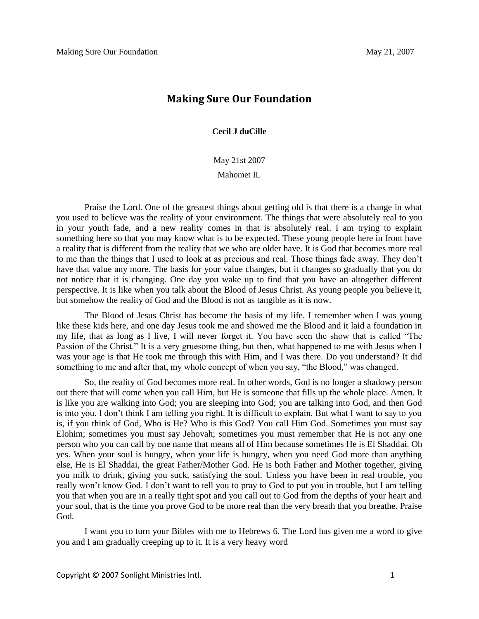## **Making Sure Our Foundation**

**Cecil J duCille**

May 21st 2007

Mahomet IL

Praise the Lord. One of the greatest things about getting old is that there is a change in what you used to believe was the reality of your environment. The things that were absolutely real to you in your youth fade, and a new reality comes in that is absolutely real. I am trying to explain something here so that you may know what is to be expected. These young people here in front have a reality that is different from the reality that we who are older have. It is God that becomes more real to me than the things that I used to look at as precious and real. Those things fade away. They don't have that value any more. The basis for your value changes, but it changes so gradually that you do not notice that it is changing. One day you wake up to find that you have an altogether different perspective. It is like when you talk about the Blood of Jesus Christ. As young people you believe it, but somehow the reality of God and the Blood is not as tangible as it is now.

The Blood of Jesus Christ has become the basis of my life. I remember when I was young like these kids here, and one day Jesus took me and showed me the Blood and it laid a foundation in my life, that as long as I live, I will never forget it. You have seen the show that is called "The Passion of the Christ." It is a very gruesome thing, but then, what happened to me with Jesus when I was your age is that He took me through this with Him, and I was there. Do you understand? It did something to me and after that, my whole concept of when you say, "the Blood," was changed.

So, the reality of God becomes more real. In other words, God is no longer a shadowy person out there that will come when you call Him, but He is someone that fills up the whole place. Amen. It is like you are walking into God; you are sleeping into God; you are talking into God, and then God is into you. I don't think I am telling you right. It is difficult to explain. But what I want to say to you is, if you think of God, Who is He? Who is this God? You call Him God. Sometimes you must say Elohim; sometimes you must say Jehovah; sometimes you must remember that He is not any one person who you can call by one name that means all of Him because sometimes He is El Shaddai. Oh yes. When your soul is hungry, when your life is hungry, when you need God more than anything else, He is El Shaddai, the great Father/Mother God. He is both Father and Mother together, giving you milk to drink, giving you suck, satisfying the soul. Unless you have been in real trouble, you really won't know God. I don't want to tell you to pray to God to put you in trouble, but I am telling you that when you are in a really tight spot and you call out to God from the depths of your heart and your soul, that is the time you prove God to be more real than the very breath that you breathe. Praise God.

I want you to turn your Bibles with me to Hebrews 6. The Lord has given me a word to give you and I am gradually creeping up to it. It is a very heavy word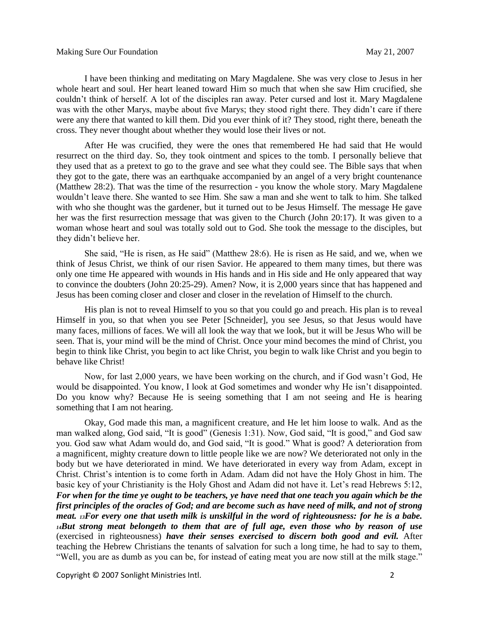I have been thinking and meditating on Mary Magdalene. She was very close to Jesus in her whole heart and soul. Her heart leaned toward Him so much that when she saw Him crucified, she couldn't think of herself. A lot of the disciples ran away. Peter cursed and lost it. Mary Magdalene was with the other Marys, maybe about five Marys; they stood right there. They didn't care if there were any there that wanted to kill them. Did you ever think of it? They stood, right there, beneath the cross. They never thought about whether they would lose their lives or not.

After He was crucified, they were the ones that remembered He had said that He would resurrect on the third day. So, they took ointment and spices to the tomb. I personally believe that they used that as a pretext to go to the grave and see what they could see. The Bible says that when they got to the gate, there was an earthquake accompanied by an angel of a very bright countenance (Matthew 28:2). That was the time of the resurrection - you know the whole story. Mary Magdalene wouldn't leave there. She wanted to see Him. She saw a man and she went to talk to him. She talked with who she thought was the gardener, but it turned out to be Jesus Himself. The message He gave her was the first resurrection message that was given to the Church (John 20:17). It was given to a woman whose heart and soul was totally sold out to God. She took the message to the disciples, but they didn't believe her.

She said, "He is risen, as He said" (Matthew 28:6). He is risen as He said, and we, when we think of Jesus Christ, we think of our risen Savior. He appeared to them many times, but there was only one time He appeared with wounds in His hands and in His side and He only appeared that way to convince the doubters (John 20:25-29). Amen? Now, it is 2,000 years since that has happened and Jesus has been coming closer and closer and closer in the revelation of Himself to the church.

His plan is not to reveal Himself to you so that you could go and preach. His plan is to reveal Himself in you, so that when you see Peter [Schneider], you see Jesus, so that Jesus would have many faces, millions of faces. We will all look the way that we look, but it will be Jesus Who will be seen. That is, your mind will be the mind of Christ. Once your mind becomes the mind of Christ, you begin to think like Christ, you begin to act like Christ, you begin to walk like Christ and you begin to behave like Christ!

Now, for last 2,000 years, we have been working on the church, and if God wasn't God, He would be disappointed. You know, I look at God sometimes and wonder why He isn't disappointed. Do you know why? Because He is seeing something that I am not seeing and He is hearing something that I am not hearing.

Okay, God made this man, a magnificent creature, and He let him loose to walk. And as the man walked along, God said, "It is good" (Genesis 1:31). Now, God said, "It is good," and God saw you. God saw what Adam would do, and God said, "It is good." What is good? A deterioration from a magnificent, mighty creature down to little people like we are now? We deteriorated not only in the body but we have deteriorated in mind. We have deteriorated in every way from Adam, except in Christ. Christ's intention is to come forth in Adam. Adam did not have the Holy Ghost in him. The basic key of your Christianity is the Holy Ghost and Adam did not have it. Let's read Hebrews 5:12, *For when for the time ye ought to be teachers, ye have need that one teach you again which be the first principles of the oracles of God; and are become such as have need of milk, and not of strong meat. 13For every one that useth milk is unskilful in the word of righteousness: for he is a babe. <sup>14</sup>But strong meat belongeth to them that are of full age, even those who by reason of use*  (exercised in righteousness) *have their senses exercised to discern both good and evil.* After teaching the Hebrew Christians the tenants of salvation for such a long time, he had to say to them, "Well, you are as dumb as you can be, for instead of eating meat you are now still at the milk stage."

Copyright © 2007 Sonlight Ministries Intl. 2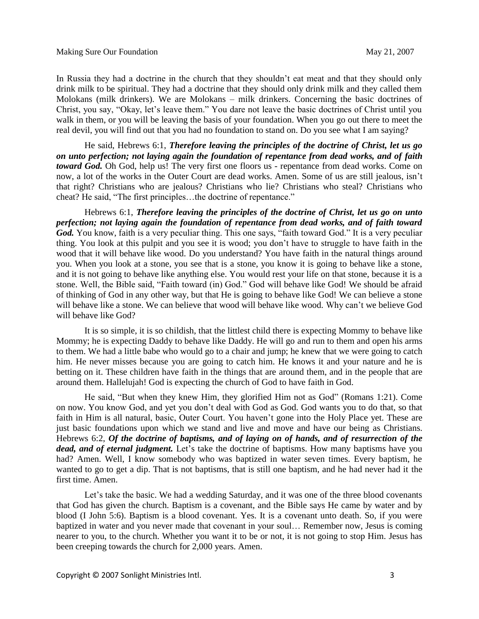In Russia they had a doctrine in the church that they shouldn't eat meat and that they should only drink milk to be spiritual. They had a doctrine that they should only drink milk and they called them Molokans (milk drinkers). We are Molokans – milk drinkers. Concerning the basic doctrines of Christ, you say, "Okay, let's leave them." You dare not leave the basic doctrines of Christ until you walk in them, or you will be leaving the basis of your foundation. When you go out there to meet the real devil, you will find out that you had no foundation to stand on. Do you see what I am saying?

He said, Hebrews 6:1, *Therefore leaving the principles of the doctrine of Christ, let us go on unto perfection; not laying again the foundation of repentance from dead works, and of faith toward God.* Oh God, help us! The very first one floors us - repentance from dead works. Come on now, a lot of the works in the Outer Court are dead works. Amen. Some of us are still jealous, isn't that right? Christians who are jealous? Christians who lie? Christians who steal? Christians who cheat? He said, "The first principles…the doctrine of repentance."

Hebrews 6:1, *Therefore leaving the principles of the doctrine of Christ, let us go on unto perfection; not laying again the foundation of repentance from dead works, and of faith toward*  God. You know, faith is a very peculiar thing. This one says, "faith toward God." It is a very peculiar thing. You look at this pulpit and you see it is wood; you don't have to struggle to have faith in the wood that it will behave like wood. Do you understand? You have faith in the natural things around you. When you look at a stone, you see that is a stone, you know it is going to behave like a stone, and it is not going to behave like anything else. You would rest your life on that stone, because it is a stone. Well, the Bible said, "Faith toward (in) God." God will behave like God! We should be afraid of thinking of God in any other way, but that He is going to behave like God! We can believe a stone will behave like a stone. We can believe that wood will behave like wood. Why can't we believe God will behave like God?

It is so simple, it is so childish, that the littlest child there is expecting Mommy to behave like Mommy; he is expecting Daddy to behave like Daddy. He will go and run to them and open his arms to them. We had a little babe who would go to a chair and jump; he knew that we were going to catch him. He never misses because you are going to catch him. He knows it and your nature and he is betting on it. These children have faith in the things that are around them, and in the people that are around them. Hallelujah! God is expecting the church of God to have faith in God.

He said, "But when they knew Him, they glorified Him not as God" (Romans 1:21). Come on now. You know God, and yet you don't deal with God as God. God wants you to do that, so that faith in Him is all natural, basic, Outer Court. You haven't gone into the Holy Place yet. These are just basic foundations upon which we stand and live and move and have our being as Christians. Hebrews 6:2, *Of the doctrine of baptisms, and of laying on of hands, and of resurrection of the dead, and of eternal judgment.* Let's take the doctrine of baptisms. How many baptisms have you had? Amen. Well, I know somebody who was baptized in water seven times. Every baptism, he wanted to go to get a dip. That is not baptisms, that is still one baptism, and he had never had it the first time. Amen.

Let's take the basic. We had a wedding Saturday, and it was one of the three blood covenants that God has given the church. Baptism is a covenant, and the Bible says He came by water and by blood (I John 5:6). Baptism is a blood covenant. Yes. It is a covenant unto death. So, if you were baptized in water and you never made that covenant in your soul… Remember now, Jesus is coming nearer to you, to the church. Whether you want it to be or not, it is not going to stop Him. Jesus has been creeping towards the church for 2,000 years. Amen.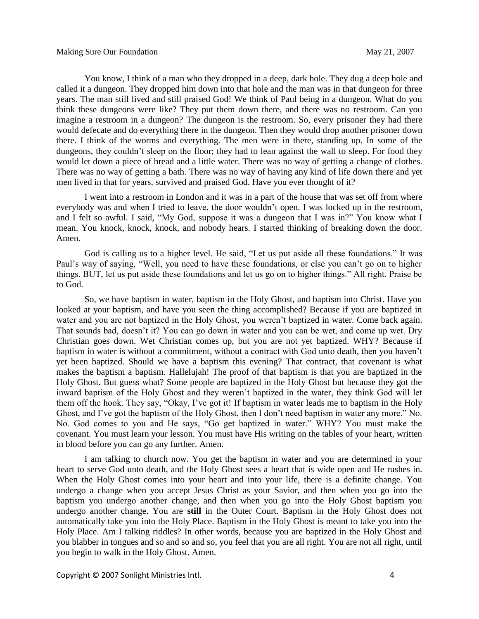You know, I think of a man who they dropped in a deep, dark hole. They dug a deep hole and called it a dungeon. They dropped him down into that hole and the man was in that dungeon for three years. The man still lived and still praised God! We think of Paul being in a dungeon. What do you think these dungeons were like? They put them down there, and there was no restroom. Can you imagine a restroom in a dungeon? The dungeon is the restroom. So, every prisoner they had there would defecate and do everything there in the dungeon. Then they would drop another prisoner down there. I think of the worms and everything. The men were in there, standing up. In some of the dungeons, they couldn't sleep on the floor; they had to lean against the wall to sleep. For food they would let down a piece of bread and a little water. There was no way of getting a change of clothes. There was no way of getting a bath. There was no way of having any kind of life down there and yet men lived in that for years, survived and praised God. Have you ever thought of it?

I went into a restroom in London and it was in a part of the house that was set off from where everybody was and when I tried to leave, the door wouldn't open. I was locked up in the restroom, and I felt so awful. I said, "My God, suppose it was a dungeon that I was in?" You know what I mean. You knock, knock, knock, and nobody hears. I started thinking of breaking down the door. Amen.

God is calling us to a higher level. He said, "Let us put aside all these foundations." It was Paul's way of saying, "Well, you need to have these foundations, or else you can't go on to higher things. BUT, let us put aside these foundations and let us go on to higher things." All right. Praise be to God.

So, we have baptism in water, baptism in the Holy Ghost, and baptism into Christ. Have you looked at your baptism, and have you seen the thing accomplished? Because if you are baptized in water and you are not baptized in the Holy Ghost, you weren't baptized in water. Come back again. That sounds bad, doesn't it? You can go down in water and you can be wet, and come up wet. Dry Christian goes down. Wet Christian comes up, but you are not yet baptized. WHY? Because if baptism in water is without a commitment, without a contract with God unto death, then you haven't yet been baptized. Should we have a baptism this evening? That contract, that covenant is what makes the baptism a baptism. Hallelujah! The proof of that baptism is that you are baptized in the Holy Ghost. But guess what? Some people are baptized in the Holy Ghost but because they got the inward baptism of the Holy Ghost and they weren't baptized in the water, they think God will let them off the hook. They say, "Okay, I've got it! If baptism in water leads me to baptism in the Holy Ghost, and I've got the baptism of the Holy Ghost, then I don't need baptism in water any more." No. No. God comes to you and He says, "Go get baptized in water." WHY? You must make the covenant. You must learn your lesson. You must have His writing on the tables of your heart, written in blood before you can go any further. Amen.

I am talking to church now. You get the baptism in water and you are determined in your heart to serve God unto death, and the Holy Ghost sees a heart that is wide open and He rushes in. When the Holy Ghost comes into your heart and into your life, there is a definite change. You undergo a change when you accept Jesus Christ as your Savior, and then when you go into the baptism you undergo another change, and then when you go into the Holy Ghost baptism you undergo another change. You are **still** in the Outer Court. Baptism in the Holy Ghost does not automatically take you into the Holy Place. Baptism in the Holy Ghost is meant to take you into the Holy Place. Am I talking riddles? In other words, because you are baptized in the Holy Ghost and you blabber in tongues and so and so and so, you feel that you are all right. You are not all right, until you begin to walk in the Holy Ghost. Amen.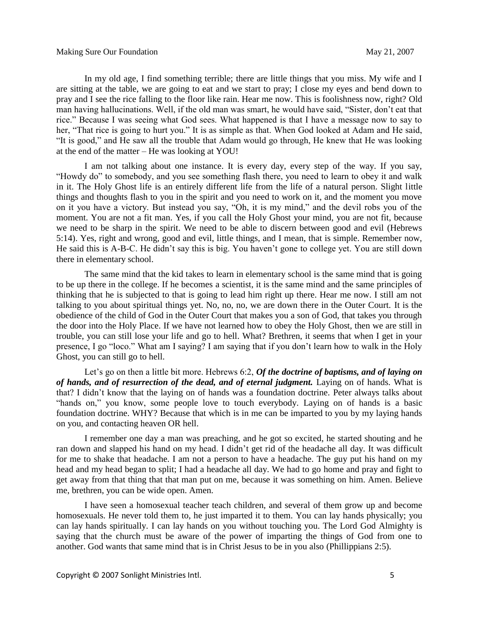In my old age, I find something terrible; there are little things that you miss. My wife and I are sitting at the table, we are going to eat and we start to pray; I close my eyes and bend down to pray and I see the rice falling to the floor like rain. Hear me now. This is foolishness now, right? Old man having hallucinations. Well, if the old man was smart, he would have said, "Sister, don't eat that rice." Because I was seeing what God sees. What happened is that I have a message now to say to her, "That rice is going to hurt you." It is as simple as that. When God looked at Adam and He said, "It is good," and He saw all the trouble that Adam would go through, He knew that He was looking at the end of the matter – He was looking at YOU!

I am not talking about one instance. It is every day, every step of the way. If you say, "Howdy do" to somebody, and you see something flash there, you need to learn to obey it and walk in it. The Holy Ghost life is an entirely different life from the life of a natural person. Slight little things and thoughts flash to you in the spirit and you need to work on it, and the moment you move on it you have a victory. But instead you say, "Oh, it is my mind," and the devil robs you of the moment. You are not a fit man. Yes, if you call the Holy Ghost your mind, you are not fit, because we need to be sharp in the spirit. We need to be able to discern between good and evil (Hebrews 5:14). Yes, right and wrong, good and evil, little things, and I mean, that is simple. Remember now, He said this is A-B-C. He didn't say this is big. You haven't gone to college yet. You are still down there in elementary school.

The same mind that the kid takes to learn in elementary school is the same mind that is going to be up there in the college. If he becomes a scientist, it is the same mind and the same principles of thinking that he is subjected to that is going to lead him right up there. Hear me now. I still am not talking to you about spiritual things yet. No, no, no, we are down there in the Outer Court. It is the obedience of the child of God in the Outer Court that makes you a son of God, that takes you through the door into the Holy Place. If we have not learned how to obey the Holy Ghost, then we are still in trouble, you can still lose your life and go to hell. What? Brethren, it seems that when I get in your presence, I go "loco." What am I saying? I am saying that if you don't learn how to walk in the Holy Ghost, you can still go to hell.

Let's go on then a little bit more. Hebrews 6:2, *Of the doctrine of baptisms, and of laying on*  of hands, and of resurrection of the dead, and of eternal judgment. Laying on of hands. What is that? I didn't know that the laying on of hands was a foundation doctrine. Peter always talks about "hands on," you know, some people love to touch everybody. Laying on of hands is a basic foundation doctrine. WHY? Because that which is in me can be imparted to you by my laying hands on you, and contacting heaven OR hell.

I remember one day a man was preaching, and he got so excited, he started shouting and he ran down and slapped his hand on my head. I didn't get rid of the headache all day. It was difficult for me to shake that headache. I am not a person to have a headache. The guy put his hand on my head and my head began to split; I had a headache all day. We had to go home and pray and fight to get away from that thing that that man put on me, because it was something on him. Amen. Believe me, brethren, you can be wide open. Amen.

I have seen a homosexual teacher teach children, and several of them grow up and become homosexuals. He never told them to, he just imparted it to them. You can lay hands physically; you can lay hands spiritually. I can lay hands on you without touching you. The Lord God Almighty is saying that the church must be aware of the power of imparting the things of God from one to another. God wants that same mind that is in Christ Jesus to be in you also (Phillippians 2:5).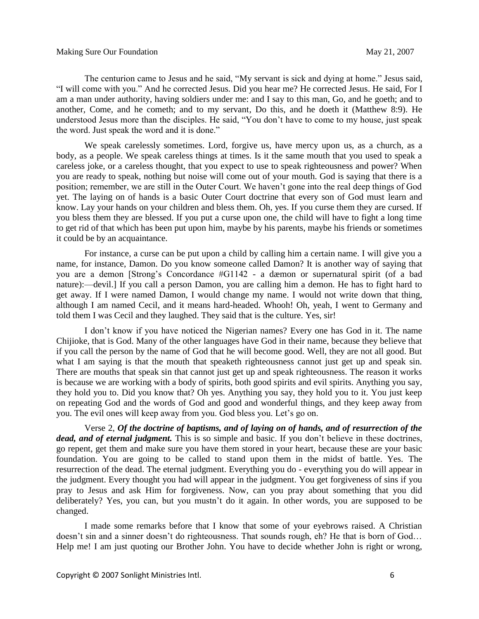The centurion came to Jesus and he said, "My servant is sick and dying at home." Jesus said, "I will come with you." And he corrected Jesus. Did you hear me? He corrected Jesus. He said, For I am a man under authority, having soldiers under me: and I say to this man, Go, and he goeth; and to another, Come, and he cometh; and to my servant, Do this, and he doeth it (Matthew 8:9). He understood Jesus more than the disciples. He said, "You don't have to come to my house, just speak the word. Just speak the word and it is done."

We speak carelessly sometimes. Lord, forgive us, have mercy upon us, as a church, as a body, as a people. We speak careless things at times. Is it the same mouth that you used to speak a careless joke, or a careless thought, that you expect to use to speak righteousness and power? When you are ready to speak, nothing but noise will come out of your mouth. God is saying that there is a position; remember, we are still in the Outer Court. We haven't gone into the real deep things of God yet. The laying on of hands is a basic Outer Court doctrine that every son of God must learn and know. Lay your hands on your children and bless them. Oh, yes. If you curse them they are cursed. If you bless them they are blessed. If you put a curse upon one, the child will have to fight a long time to get rid of that which has been put upon him, maybe by his parents, maybe his friends or sometimes it could be by an acquaintance.

For instance, a curse can be put upon a child by calling him a certain name. I will give you a name, for instance, Damon. Do you know someone called Damon? It is another way of saying that you are a demon [Strong's Concordance #G1142 - a dæmon or supernatural spirit (of a bad nature):—devil.] If you call a person Damon, you are calling him a demon. He has to fight hard to get away. If I were named Damon, I would change my name. I would not write down that thing, although I am named Cecil, and it means hard-headed. Whooh! Oh, yeah, I went to Germany and told them I was Cecil and they laughed. They said that is the culture. Yes, sir!

I don't know if you have noticed the Nigerian names? Every one has God in it. The name Chijioke, that is God. Many of the other languages have God in their name, because they believe that if you call the person by the name of God that he will become good. Well, they are not all good. But what I am saying is that the mouth that speaketh righteousness cannot just get up and speak sin. There are mouths that speak sin that cannot just get up and speak righteousness. The reason it works is because we are working with a body of spirits, both good spirits and evil spirits. Anything you say, they hold you to. Did you know that? Oh yes. Anything you say, they hold you to it. You just keep on repeating God and the words of God and good and wonderful things, and they keep away from you. The evil ones will keep away from you. God bless you. Let's go on.

Verse 2, *Of the doctrine of baptisms, and of laying on of hands, and of resurrection of the dead, and of eternal judgment.* This is so simple and basic. If you don't believe in these doctrines, go repent, get them and make sure you have them stored in your heart, because these are your basic foundation. You are going to be called to stand upon them in the midst of battle. Yes. The resurrection of the dead. The eternal judgment. Everything you do - everything you do will appear in the judgment. Every thought you had will appear in the judgment. You get forgiveness of sins if you pray to Jesus and ask Him for forgiveness. Now, can you pray about something that you did deliberately? Yes, you can, but you mustn't do it again. In other words, you are supposed to be changed.

I made some remarks before that I know that some of your eyebrows raised. A Christian doesn't sin and a sinner doesn't do righteousness. That sounds rough, eh? He that is born of God… Help me! I am just quoting our Brother John. You have to decide whether John is right or wrong,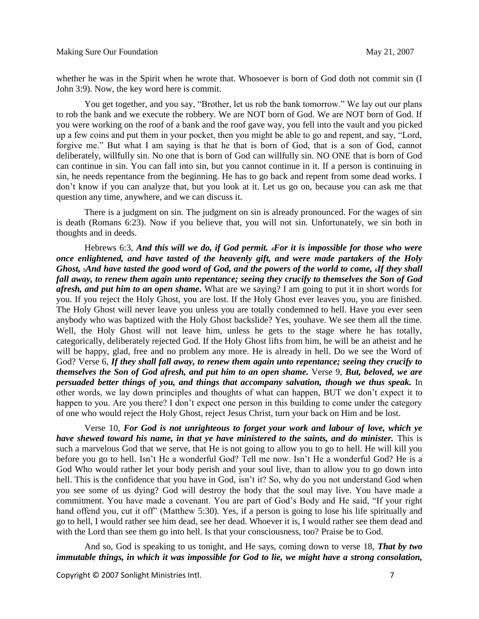whether he was in the Spirit when he wrote that. Whosoever is born of God doth not commit sin (I John 3:9). Now, the key word here is commit.

You get together, and you say, "Brother, let us rob the bank tomorrow." We lay out our plans to rob the bank and we execute the robbery. We are NOT born of God. We are NOT born of God. If you were working on the roof of a bank and the roof gave way, you fell into the vault and you picked up a few coins and put them in your pocket, then you might be able to go and repent, and say, "Lord, forgive me." But what I am saying is that he that is born of God, that is a son of God, cannot deliberately, willfully sin. No one that is born of God can willfully sin. NO ONE that is born of God can continue in sin. You can fall into sin, but you cannot continue in it. If a person is continuing in sin, he needs repentance from the beginning. He has to go back and repent from some dead works. I don't know if you can analyze that, but you look at it. Let us go on, because you can ask me that question any time, anywhere, and we can discuss it.

There is a judgment on sin. The judgment on sin is already pronounced. For the wages of sin is death (Romans 6:23). Now if you believe that, you will not sin. Unfortunately, we sin both in thoughts and in deeds.

Hebrews 6:3, *And this will we do, if God permit. <sup>4</sup>For it is impossible for those who were once enlightened, and have tasted of the heavenly gift, and were made partakers of the Holy Ghost, 5And have tasted the good word of God, and the powers of the world to come, 6If they shall fall away, to renew them again unto repentance; seeing they crucify to themselves the Son of God afresh, and put him to an open shame.* What are we saying? I am going to put it in short words for you. If you reject the Holy Ghost, you are lost. If the Holy Ghost ever leaves you, you are finished. The Holy Ghost will never leave you unless you are totally condemned to hell. Have you ever seen anybody who was baptized with the Holy Ghost backslide? Yes, youhave. We see them all the time. Well, the Holy Ghost will not leave him, unless he gets to the stage where he has totally, categorically, deliberately rejected God. If the Holy Ghost lifts from him, he will be an atheist and he will be happy, glad, free and no problem any more. He is already in hell. Do we see the Word of God? Verse 6, *If they shall fall away, to renew them again unto repentance; seeing they crucify to themselves the Son of God afresh, and put him to an open shame.* Verse 9, *But, beloved, we are persuaded better things of you, and things that accompany salvation, though we thus speak.* In other words, we lay down principles and thoughts of what can happen, BUT we don't expect it to happen to you. Are you there? I don't expect one person in this building to come under the category of one who would reject the Holy Ghost, reject Jesus Christ, turn your back on Him and be lost.

Verse 10, *For God is not unrighteous to forget your work and labour of love, which ye have shewed toward his name, in that ye have ministered to the saints, and do minister.* This is such a marvelous God that we serve, that He is not going to allow you to go to hell. He will kill you before you go to hell. Isn't He a wonderful God? Tell me now. Isn't He a wonderful God? He is a God Who would rather let your body perish and your soul live, than to allow you to go down into hell. This is the confidence that you have in God, isn't it? So, why do you not understand God when you see some of us dying? God will destroy the body that the soul may live. You have made a commitment. You have made a covenant. You are part of God's Body and He said, "If your right hand offend you, cut it off" (Matthew 5:30). Yes, if a person is going to lose his life spiritually and go to hell, I would rather see him dead, see her dead. Whoever it is, I would rather see them dead and with the Lord than see them go into hell. Is that your consciousness, too? Praise be to God.

And so, God is speaking to us tonight, and He says, coming down to verse 18, *That by two immutable things, in which it was impossible for God to lie, we might have a strong consolation,* 

Copyright © 2007 Sonlight Ministries Intl. 7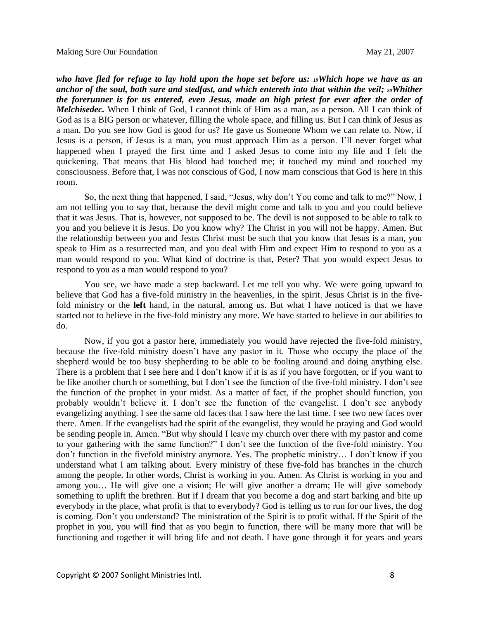*who have fled for refuge to lay hold upon the hope set before us: 19Which hope we have as an anchor of the soul, both sure and stedfast, and which entereth into that within the veil; 20Whither the forerunner is for us entered, even Jesus, made an high priest for ever after the order of Melchisedec.* When I think of God, I cannot think of Him as a man, as a person. All I can think of God as is a BIG person or whatever, filling the whole space, and filling us. But I can think of Jesus as a man. Do you see how God is good for us? He gave us Someone Whom we can relate to. Now, if Jesus is a person, if Jesus is a man, you must approach Him as a person. I'll never forget what happened when I prayed the first time and I asked Jesus to come into my life and I felt the quickening. That means that His blood had touched me; it touched my mind and touched my consciousness. Before that, I was not conscious of God, I now mam conscious that God is here in this room.

So, the next thing that happened, I said, "Jesus, why don't You come and talk to me?" Now, I am not telling you to say that, because the devil might come and talk to you and you could believe that it was Jesus. That is, however, not supposed to be. The devil is not supposed to be able to talk to you and you believe it is Jesus. Do you know why? The Christ in you will not be happy. Amen. But the relationship between you and Jesus Christ must be such that you know that Jesus is a man, you speak to Him as a resurrected man, and you deal with Him and expect Him to respond to you as a man would respond to you. What kind of doctrine is that, Peter? That you would expect Jesus to respond to you as a man would respond to you?

You see, we have made a step backward. Let me tell you why. We were going upward to believe that God has a five-fold ministry in the heavenlies, in the spirit. Jesus Christ is in the fivefold ministry or the **left** hand, in the natural, among us. But what I have noticed is that we have started not to believe in the five-fold ministry any more. We have started to believe in our abilities to do.

Now, if you got a pastor here, immediately you would have rejected the five-fold ministry, because the five-fold ministry doesn't have any pastor in it. Those who occupy the place of the shepherd would be too busy shepherding to be able to be fooling around and doing anything else. There is a problem that I see here and I don't know if it is as if you have forgotten, or if you want to be like another church or something, but I don't see the function of the five-fold ministry. I don't see the function of the prophet in your midst. As a matter of fact, if the prophet should function, you probably wouldn't believe it. I don't see the function of the evangelist. I don't see anybody evangelizing anything. I see the same old faces that I saw here the last time. I see two new faces over there. Amen. If the evangelists had the spirit of the evangelist, they would be praying and God would be sending people in. Amen. "But why should I leave my church over there with my pastor and come to your gathering with the same function?" I don't see the function of the five-fold ministry. You don't function in the fivefold ministry anymore. Yes. The prophetic ministry… I don't know if you understand what I am talking about. Every ministry of these five-fold has branches in the church among the people. In other words, Christ is working in you. Amen. As Christ is working in you and among you… He will give one a vision; He will give another a dream; He will give somebody something to uplift the brethren. But if I dream that you become a dog and start barking and bite up everybody in the place, what profit is that to everybody? God is telling us to run for our lives, the dog is coming. Don't you understand? The ministration of the Spirit is to profit withal. If the Spirit of the prophet in you, you will find that as you begin to function, there will be many more that will be functioning and together it will bring life and not death. I have gone through it for years and years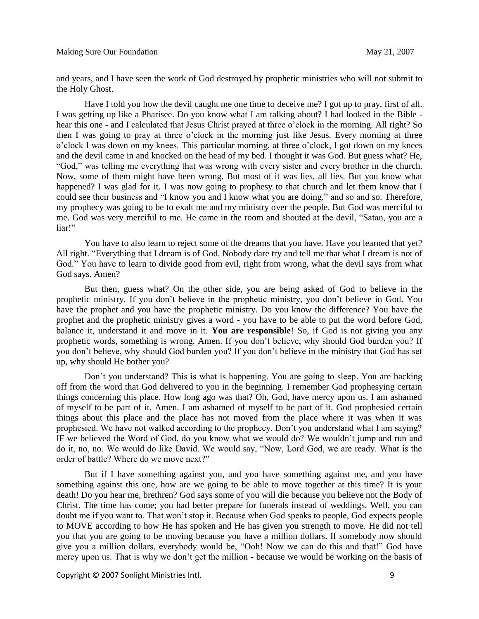and years, and I have seen the work of God destroyed by prophetic ministries who will not submit to the Holy Ghost.

Have I told you how the devil caught me one time to deceive me? I got up to pray, first of all. I was getting up like a Pharisee. Do you know what I am talking about? I had looked in the Bible hear this one - and I calculated that Jesus Christ prayed at three o'clock in the morning. All right? So then I was going to pray at three o'clock in the morning just like Jesus. Every morning at three o'clock I was down on my knees. This particular morning, at three o'clock, I got down on my knees and the devil came in and knocked on the head of my bed. I thought it was God. But guess what? He, "God," was telling me everything that was wrong with every sister and every brother in the church. Now, some of them might have been wrong. But most of it was lies, all lies. But you know what happened? I was glad for it. I was now going to prophesy to that church and let them know that I could see their business and "I know you and I know what you are doing," and so and so. Therefore, my prophecy was going to be to exalt me and my ministry over the people. But God was merciful to me. God was very merciful to me. He came in the room and shouted at the devil, "Satan, you are a liar!"

You have to also learn to reject some of the dreams that you have. Have you learned that yet? All right. "Everything that I dream is of God. Nobody dare try and tell me that what I dream is not of God." You have to learn to divide good from evil, right from wrong, what the devil says from what God says. Amen?

But then, guess what? On the other side, you are being asked of God to believe in the prophetic ministry. If you don't believe in the prophetic ministry, you don't believe in God. You have the prophet and you have the prophetic ministry. Do you know the difference? You have the prophet and the prophetic ministry gives a word - you have to be able to put the word before God, balance it, understand it and move in it. **You are responsible**! So, if God is not giving you any prophetic words, something is wrong. Amen. If you don't believe, why should God burden you? If you don't believe, why should God burden you? If you don't believe in the ministry that God has set up, why should He bother you?

Don't you understand? This is what is happening. You are going to sleep. You are backing off from the word that God delivered to you in the beginning. I remember God prophesying certain things concerning this place. How long ago was that? Oh, God, have mercy upon us. I am ashamed of myself to be part of it. Amen. I am ashamed of myself to be part of it. God prophesied certain things about this place and the place has not moved from the place where it was when it was prophesied. We have not walked according to the prophecy. Don't you understand what I am saying? IF we believed the Word of God, do you know what we would do? We wouldn't jump and run and do it, no, no. We would do like David. We would say, "Now, Lord God, we are ready. What is the order of battle? Where do we move next?"

But if I have something against you, and you have something against me, and you have something against this one, how are we going to be able to move together at this time? It is your death! Do you hear me, brethren? God says some of you will die because you believe not the Body of Christ. The time has come; you had better prepare for funerals instead of weddings. Well, you can doubt me if you want to. That won't stop it. Because when God speaks to people, God expects people to MOVE according to how He has spoken and He has given you strength to move. He did not tell you that you are going to be moving because you have a million dollars. If somebody now should give you a million dollars, everybody would be, "Ooh! Now we can do this and that!" God have mercy upon us. That is why we don't get the million - because we would be working on the basis of

Copyright © 2007 Sonlight Ministries Intl. 9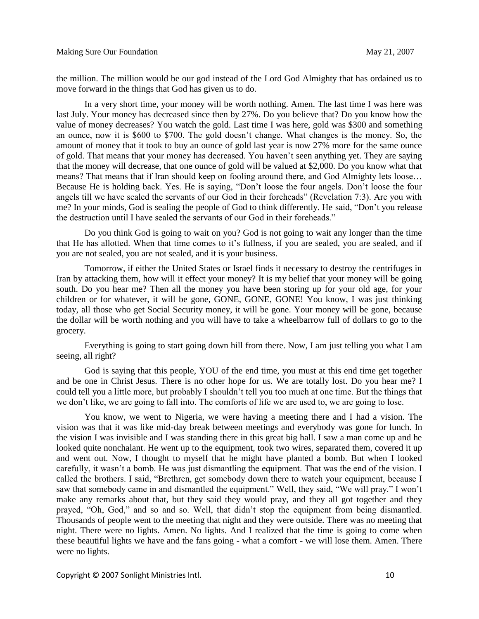the million. The million would be our god instead of the Lord God Almighty that has ordained us to move forward in the things that God has given us to do.

In a very short time, your money will be worth nothing. Amen. The last time I was here was last July. Your money has decreased since then by 27%. Do you believe that? Do you know how the value of money decreases? You watch the gold. Last time I was here, gold was \$300 and something an ounce, now it is \$600 to \$700. The gold doesn't change. What changes is the money. So, the amount of money that it took to buy an ounce of gold last year is now 27% more for the same ounce of gold. That means that your money has decreased. You haven't seen anything yet. They are saying that the money will decrease, that one ounce of gold will be valued at \$2,000. Do you know what that means? That means that if Iran should keep on fooling around there, and God Almighty lets loose… Because He is holding back. Yes. He is saying, "Don't loose the four angels. Don't loose the four angels till we have sealed the servants of our God in their foreheads" (Revelation 7:3). Are you with me? In your minds, God is sealing the people of God to think differently. He said, "Don't you release the destruction until I have sealed the servants of our God in their foreheads."

Do you think God is going to wait on you? God is not going to wait any longer than the time that He has allotted. When that time comes to it's fullness, if you are sealed, you are sealed, and if you are not sealed, you are not sealed, and it is your business.

Tomorrow, if either the United States or Israel finds it necessary to destroy the centrifuges in Iran by attacking them, how will it effect your money? It is my belief that your money will be going south. Do you hear me? Then all the money you have been storing up for your old age, for your children or for whatever, it will be gone, GONE, GONE, GONE! You know, I was just thinking today, all those who get Social Security money, it will be gone. Your money will be gone, because the dollar will be worth nothing and you will have to take a wheelbarrow full of dollars to go to the grocery.

Everything is going to start going down hill from there. Now, I am just telling you what I am seeing, all right?

God is saying that this people, YOU of the end time, you must at this end time get together and be one in Christ Jesus. There is no other hope for us. We are totally lost. Do you hear me? I could tell you a little more, but probably I shouldn't tell you too much at one time. But the things that we don't like, we are going to fall into. The comforts of life we are used to, we are going to lose.

You know, we went to Nigeria, we were having a meeting there and I had a vision. The vision was that it was like mid-day break between meetings and everybody was gone for lunch. In the vision I was invisible and I was standing there in this great big hall. I saw a man come up and he looked quite nonchalant. He went up to the equipment, took two wires, separated them, covered it up and went out. Now, I thought to myself that he might have planted a bomb. But when I looked carefully, it wasn't a bomb. He was just dismantling the equipment. That was the end of the vision. I called the brothers. I said, "Brethren, get somebody down there to watch your equipment, because I saw that somebody came in and dismantled the equipment." Well, they said, "We will pray." I won't make any remarks about that, but they said they would pray, and they all got together and they prayed, "Oh, God," and so and so. Well, that didn't stop the equipment from being dismantled. Thousands of people went to the meeting that night and they were outside. There was no meeting that night. There were no lights. Amen. No lights. And I realized that the time is going to come when these beautiful lights we have and the fans going - what a comfort - we will lose them. Amen. There were no lights.